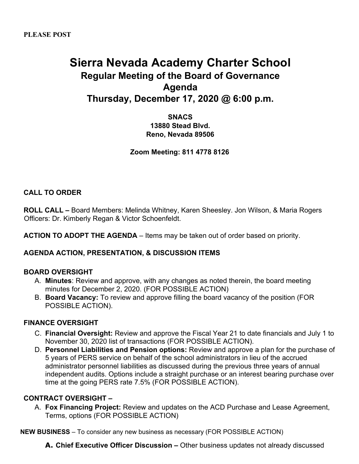# **Sierra Nevada Academy Charter School Regular Meeting of the Board of Governance Agenda Thursday, December 17, 2020 @ 6:00 p.m.**

**SNACS 13880 Stead Blvd. Reno, Nevada 89506**

**Zoom Meeting: 811 4778 8126**

### **CALL TO ORDER**

**ROLL CALL –** Board Members: Melinda Whitney, Karen Sheesley. Jon Wilson, & Maria Rogers Officers: Dr. Kimberly Regan & Victor Schoenfeldt.

**ACTION TO ADOPT THE AGENDA** – Items may be taken out of order based on priority.

#### **AGENDA ACTION, PRESENTATION, & DISCUSSION ITEMS**

#### **BOARD OVERSIGHT**

- A. **Minutes**: Review and approve, with any changes as noted therein, the board meeting minutes for December 2, 2020. (FOR POSSIBLE ACTION)
- B. **Board Vacancy:** To review and approve filling the board vacancy of the position (FOR POSSIBLE ACTION).

#### **FINANCE OVERSIGHT**

- C. **Financial Oversight:** Review and approve the Fiscal Year 21 to date financials and July 1 to November 30, 2020 list of transactions (FOR POSSIBLE ACTION).
- D. **Personnel Liabilities and Pension options:** Review and approve a plan for the purchase of 5 years of PERS service on behalf of the school administrators in lieu of the accrued administrator personnel liabilities as discussed during the previous three years of annual independent audits. Options include a straight purchase or an interest bearing purchase over time at the going PERS rate 7.5% (FOR POSSIBLE ACTION).

#### **CONTRACT OVERSIGHT –**

A. **Fox Financing Project:** Review and updates on the ACD Purchase and Lease Agreement, Terms, options (FOR POSSIBLE ACTION)

**NEW BUSINESS** – To consider any new business as necessary (FOR POSSIBLE ACTION)

**A. Chief Executive Officer Discussion –** Other business updates not already discussed